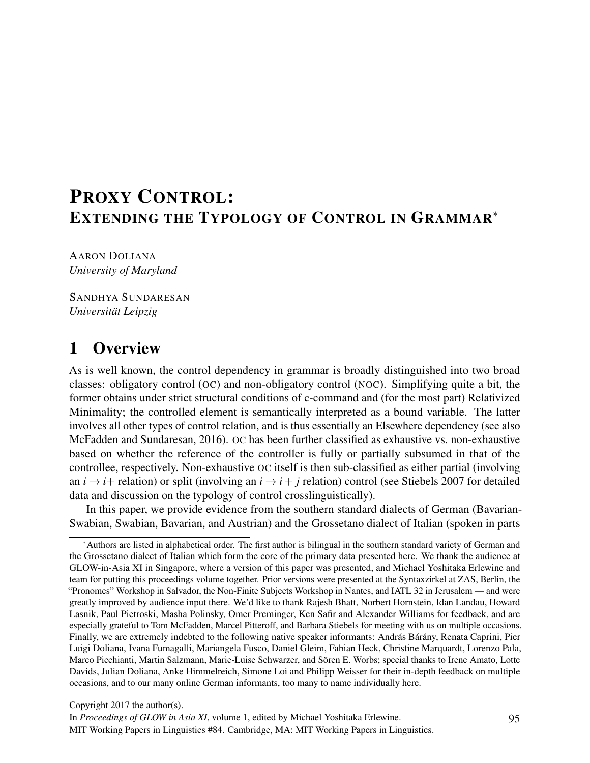# PROXY CONTROL: EXTENDING THE TYPOLOGY OF CONTROL IN GRAMMAR<sup>\*</sup>

AARON DOLIANA *University of Maryland*

SANDHYA SUNDARESAN *Universität Leipzig*

# 1 Overview

As is well known, the control dependency in grammar is broadly distinguished into two broad classes: obligatory control (OC) and non-obligatory control (NOC). Simplifying quite a bit, the former obtains under strict structural conditions of c-command and (for the most part) Relativized Minimality; the controlled element is semantically interpreted as a bound variable. The latter involves all other types of control relation, and is thus essentially an Elsewhere dependency (see also McFadden and Sundaresan, 2016). OC has been further classified as exhaustive vs. non-exhaustive based on whether the reference of the controller is fully or partially subsumed in that of the controllee, respectively. Non-exhaustive OC itself is then sub-classified as either partial (involving an  $i \rightarrow i$ + relation) or split (involving an  $i \rightarrow i$ + *j* relation) control (see Stiebels 2007 for detailed data and discussion on the typology of control crosslinguistically).

In this paper, we provide evidence from the southern standard dialects of German (Bavarian-Swabian, Swabian, Bavarian, and Austrian) and the Grossetano dialect of Italian (spoken in parts

Copyright 2017 the author(s).

In *Proceedings of GLOW in Asia XI*, volume 1, edited by Michael Yoshitaka Erlewine. MIT Working Papers in Linguistics #84. Cambridge, MA: MIT Working Papers in Linguistics.

<sup>⇤</sup>Authors are listed in alphabetical order. The first author is bilingual in the southern standard variety of German and the Grossetano dialect of Italian which form the core of the primary data presented here. We thank the audience at GLOW-in-Asia XI in Singapore, where a version of this paper was presented, and Michael Yoshitaka Erlewine and team for putting this proceedings volume together. Prior versions were presented at the Syntaxzirkel at ZAS, Berlin, the "Pronomes" Workshop in Salvador, the Non-Finite Subjects Workshop in Nantes, and IATL 32 in Jerusalem — and were greatly improved by audience input there. We'd like to thank Rajesh Bhatt, Norbert Hornstein, Idan Landau, Howard Lasnik, Paul Pietroski, Masha Polinsky, Omer Preminger, Ken Safir and Alexander Williams for feedback, and are especially grateful to Tom McFadden, Marcel Pitteroff, and Barbara Stiebels for meeting with us on multiple occasions. Finally, we are extremely indebted to the following native speaker informants: András Bárány, Renata Caprini, Pier Luigi Doliana, Ivana Fumagalli, Mariangela Fusco, Daniel Gleim, Fabian Heck, Christine Marquardt, Lorenzo Pala, Marco Picchianti, Martin Salzmann, Marie-Luise Schwarzer, and Sören E. Worbs; special thanks to Irene Amato, Lotte Davids, Julian Doliana, Anke Himmelreich, Simone Loi and Philipp Weisser for their in-depth feedback on multiple occasions, and to our many online German informants, too many to name individually here.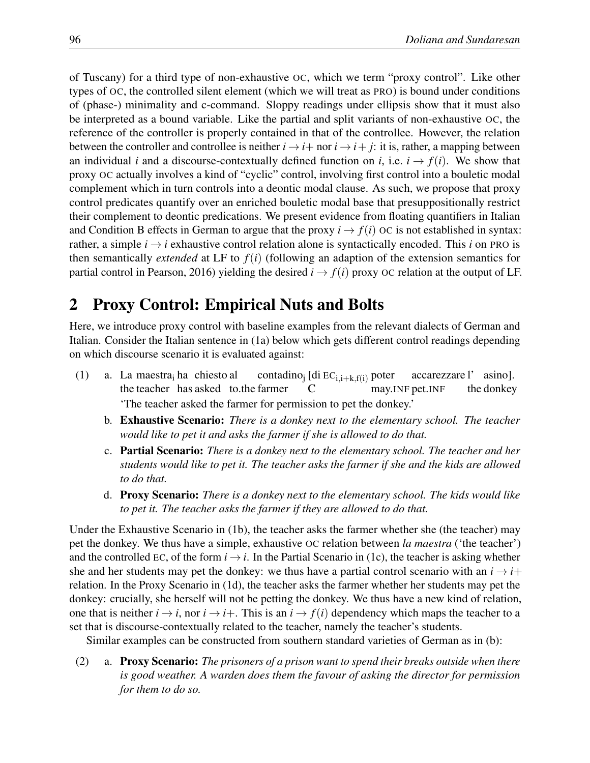of Tuscany) for a third type of non-exhaustive OC, which we term "proxy control". Like other types of OC, the controlled silent element (which we will treat as PRO) is bound under conditions of (phase-) minimality and c-command. Sloppy readings under ellipsis show that it must also be interpreted as a bound variable. Like the partial and split variants of non-exhaustive OC, the reference of the controller is properly contained in that of the controllee. However, the relation between the controller and controllee is neither  $i \rightarrow i +$  nor  $i \rightarrow i + j$ : it is, rather, a mapping between an individual *i* and a discourse-contextually defined function on *i*, i.e.  $i \rightarrow f(i)$ . We show that proxy OC actually involves a kind of "cyclic" control, involving first control into a bouletic modal complement which in turn controls into a deontic modal clause. As such, we propose that proxy control predicates quantify over an enriched bouletic modal base that presuppositionally restrict their complement to deontic predications. We present evidence from floating quantifiers in Italian and Condition B effects in German to argue that the proxy  $i \rightarrow f(i)$  OC is not established in syntax: rather, a simple  $i \rightarrow i$  exhaustive control relation alone is syntactically encoded. This *i* on PRO is then semantically *extended* at LF to *f*(*i*) (following an adaption of the extension semantics for partial control in Pearson, 2016) yielding the desired  $i \rightarrow f(i)$  proxy OC relation at the output of LF.

# 2 Proxy Control: Empirical Nuts and Bolts

Here, we introduce proxy control with baseline examples from the relevant dialects of German and Italian. Consider the Italian sentence in (1a) below which gets different control readings depending on which discourse scenario it is evaluated against:

- (1) a. La maestrai ha chiesto al the teacher has asked to.the farmer contadinoj [di ECi*,*i+k*,*f(i) poter  $\mathcal{C}$ may.INF pet.INF accarezzare l' asino]. the donkey 'The teacher asked the farmer for permission to pet the donkey.'
	- b. Exhaustive Scenario: *There is a donkey next to the elementary school. The teacher would like to pet it and asks the farmer if she is allowed to do that.*
	- c. Partial Scenario: *There is a donkey next to the elementary school. The teacher and her students would like to pet it. The teacher asks the farmer if she and the kids are allowed to do that.*
	- d. Proxy Scenario: *There is a donkey next to the elementary school. The kids would like to pet it. The teacher asks the farmer if they are allowed to do that.*

Under the Exhaustive Scenario in (1b), the teacher asks the farmer whether she (the teacher) may pet the donkey. We thus have a simple, exhaustive OC relation between *la maestra* ('the teacher') and the controlled EC, of the form  $i \rightarrow i$ . In the Partial Scenario in (1c), the teacher is asking whether she and her students may pet the donkey: we thus have a partial control scenario with an  $i \rightarrow i+$ relation. In the Proxy Scenario in (1d), the teacher asks the farmer whether her students may pet the donkey: crucially, she herself will not be petting the donkey. We thus have a new kind of relation, one that is neither  $i \rightarrow i$ , nor  $i \rightarrow i$ . This is an  $i \rightarrow f(i)$  dependency which maps the teacher to a set that is discourse-contextually related to the teacher, namely the teacher's students.

Similar examples can be constructed from southern standard varieties of German as in (b):

(2) a. Proxy Scenario: *The prisoners of a prison want to spend their breaks outside when there is good weather. A warden does them the favour of asking the director for permission for them to do so.*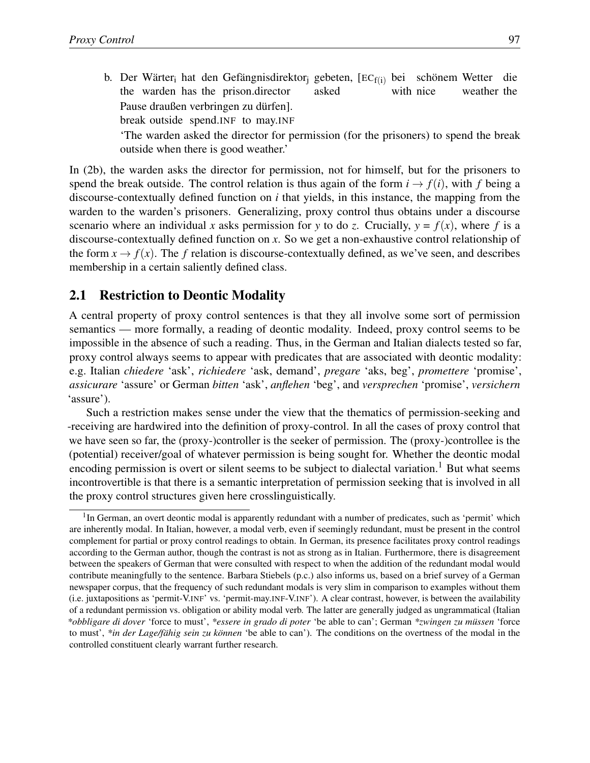b. Der Wärter<sub>i</sub> hat den Gefängnisdirektor<sub>j</sub> gebeten, [EC<sub>f(i)</sub> bei schönem Wetter die the warden has the prison.director asked with nice weather the Pause draußen verbringen zu dürfen].

break outside spend.INF to may.INF

'The warden asked the director for permission (for the prisoners) to spend the break outside when there is good weather.'

In (2b), the warden asks the director for permission, not for himself, but for the prisoners to spend the break outside. The control relation is thus again of the form  $i \rightarrow f(i)$ , with f being a discourse-contextually defined function on *i* that yields, in this instance, the mapping from the warden to the warden's prisoners. Generalizing, proxy control thus obtains under a discourse scenario where an individual *x* asks permission for *y* to do *z*. Crucially,  $y = f(x)$ , where *f* is a discourse-contextually defined function on *x*. So we get a non-exhaustive control relationship of the form  $x \to f(x)$ . The f relation is discourse-contextually defined, as we've seen, and describes membership in a certain saliently defined class.

#### 2.1 Restriction to Deontic Modality

A central property of proxy control sentences is that they all involve some sort of permission semantics — more formally, a reading of deontic modality. Indeed, proxy control seems to be impossible in the absence of such a reading. Thus, in the German and Italian dialects tested so far, proxy control always seems to appear with predicates that are associated with deontic modality: e.g. Italian *chiedere* 'ask', *richiedere* 'ask, demand', *pregare* 'aks, beg', *promettere* 'promise', *assicurare* 'assure' or German *bitten* 'ask', *anflehen* 'beg', and *versprechen* 'promise', *versichern* 'assure').

Such a restriction makes sense under the view that the thematics of permission-seeking and -receiving are hardwired into the definition of proxy-control. In all the cases of proxy control that we have seen so far, the (proxy-)controller is the seeker of permission. The (proxy-)controllee is the (potential) receiver/goal of whatever permission is being sought for. Whether the deontic modal encoding permission is overt or silent seems to be subject to dialectal variation.<sup>1</sup> But what seems incontrovertible is that there is a semantic interpretation of permission seeking that is involved in all the proxy control structures given here crosslinguistically.

<sup>&</sup>lt;sup>1</sup>In German, an overt deontic modal is apparently redundant with a number of predicates, such as 'permit' which are inherently modal. In Italian, however, a modal verb, even if seemingly redundant, must be present in the control complement for partial or proxy control readings to obtain. In German, its presence facilitates proxy control readings according to the German author, though the contrast is not as strong as in Italian. Furthermore, there is disagreement between the speakers of German that were consulted with respect to when the addition of the redundant modal would contribute meaningfully to the sentence. Barbara Stiebels (p.c.) also informs us, based on a brief survey of a German newspaper corpus, that the frequency of such redundant modals is very slim in comparison to examples without them (i.e. juxtapositions as 'permit-V.INF' vs. 'permit-may.INF-V.INF'). A clear contrast, however, is between the availability of a redundant permission vs. obligation or ability modal verb. The latter are generally judged as ungrammatical (Italian *\*obbligare di dover* 'force to must', *\*essere in grado di poter* 'be able to can'; German *\*zwingen zu müssen* 'force to must', *\*in der Lage/fähig sein zu können* 'be able to can'). The conditions on the overtness of the modal in the controlled constituent clearly warrant further research.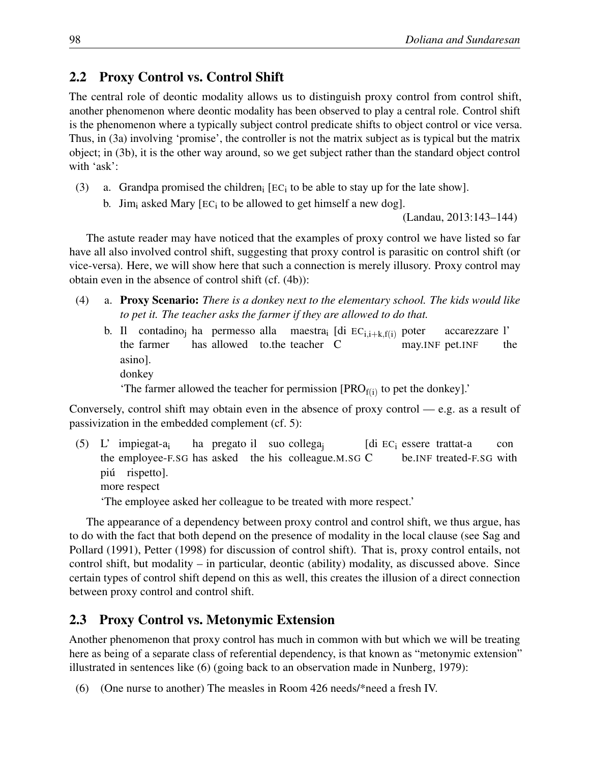### 2.2 Proxy Control vs. Control Shift

The central role of deontic modality allows us to distinguish proxy control from control shift, another phenomenon where deontic modality has been observed to play a central role. Control shift is the phenomenon where a typically subject control predicate shifts to object control or vice versa. Thus, in (3a) involving 'promise', the controller is not the matrix subject as is typical but the matrix object; in (3b), it is the other way around, so we get subject rather than the standard object control with 'ask':

- (3) a. Grandpa promised the children<sub>i</sub> [EC<sub>i</sub> to be able to stay up for the late show].
	- b. Jim<sub>i</sub> asked Mary [EC<sub>i</sub> to be allowed to get himself a new dog].

(Landau, 2013:143–144)

The astute reader may have noticed that the examples of proxy control we have listed so far have all also involved control shift, suggesting that proxy control is parasitic on control shift (or vice-versa). Here, we will show here that such a connection is merely illusory. Proxy control may obtain even in the absence of control shift (cf. (4b)):

- (4) a. Proxy Scenario: *There is a donkey next to the elementary school. The kids would like to pet it. The teacher asks the farmer if they are allowed to do that.*
	- b. Il contadinoj ha permesso alla maestrai [di ECi*,*i+k*,*f(i) poter the farmer has allowed to.the teacher C may.INF pet.INF accarezzare l' the asino]. donkey

'The farmer allowed the teacher for permission  $[PRO_{f(i)}]$  to pet the donkey].'

Conversely, control shift may obtain even in the absence of proxy control — e.g. as a result of passivization in the embedded complement (cf. 5):

(5) L' impiegat-ai the employee-F.SG has asked the his colleague.M.SG C ha pregato il suo collega<sub>j</sub> [di EC<sub>i</sub> essere trattat-a be.INF treated-F.SG with con piú rispetto]. more respect

'The employee asked her colleague to be treated with more respect.'

The appearance of a dependency between proxy control and control shift, we thus argue, has to do with the fact that both depend on the presence of modality in the local clause (see Sag and Pollard (1991), Petter (1998) for discussion of control shift). That is, proxy control entails, not control shift, but modality – in particular, deontic (ability) modality, as discussed above. Since certain types of control shift depend on this as well, this creates the illusion of a direct connection between proxy control and control shift.

## 2.3 Proxy Control vs. Metonymic Extension

Another phenomenon that proxy control has much in common with but which we will be treating here as being of a separate class of referential dependency, is that known as "metonymic extension" illustrated in sentences like (6) (going back to an observation made in Nunberg, 1979):

(6) (One nurse to another) The measles in Room 426 needs/\*need a fresh IV.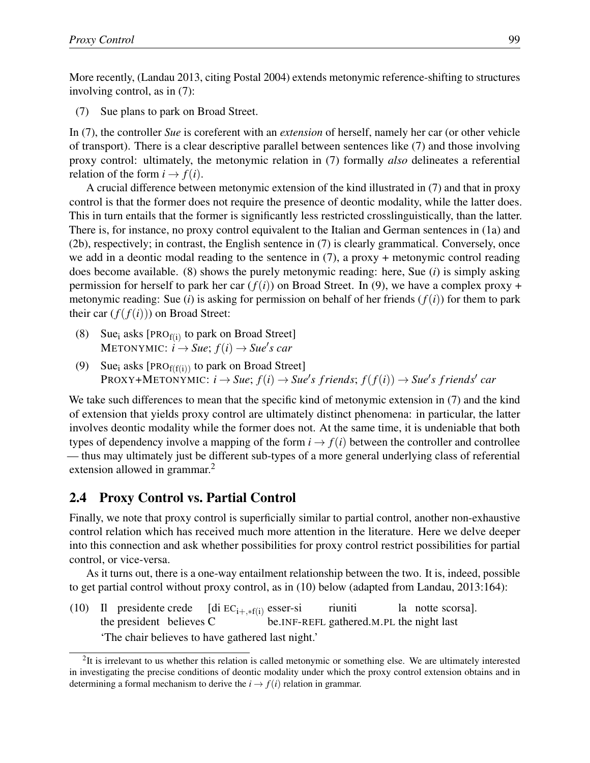More recently, (Landau 2013, citing Postal 2004) extends metonymic reference-shifting to structures involving control, as in (7):

(7) Sue plans to park on Broad Street.

In (7), the controller *Sue* is coreferent with an *extension* of herself, namely her car (or other vehicle of transport). There is a clear descriptive parallel between sentences like (7) and those involving proxy control: ultimately, the metonymic relation in (7) formally *also* delineates a referential relation of the form  $i \rightarrow f(i)$ .

A crucial difference between metonymic extension of the kind illustrated in (7) and that in proxy control is that the former does not require the presence of deontic modality, while the latter does. This in turn entails that the former is significantly less restricted crosslinguistically, than the latter. There is, for instance, no proxy control equivalent to the Italian and German sentences in (1a) and (2b), respectively; in contrast, the English sentence in (7) is clearly grammatical. Conversely, once we add in a deontic modal reading to the sentence in  $(7)$ , a proxy + metonymic control reading does become available. (8) shows the purely metonymic reading: here, Sue (*i*) is simply asking permission for herself to park her car  $(f(i))$  on Broad Street. In (9), we have a complex proxy + metonymic reading: Sue (*i*) is asking for permission on behalf of her friends  $(f(i))$  for them to park their car  $(f(f(i)))$  on Broad Street:

- (8) Sue<sub>i</sub> asks [PRO<sub>f(i)</sub> to park on Broad Street]  $METONYMIC: i \rightarrow Sue; f(i) \rightarrow Sue's car$
- (9) Sue<sub>i</sub> asks [PRO $_{f(f(i))}$  to park on Broad Street]  $\text{PROXY+METONYMIC: } i \rightarrow \text{Sue}; f(i) \rightarrow \text{Sue's friends}; f(f(i)) \rightarrow \text{Sue's friends'}$  *car*

We take such differences to mean that the specific kind of metonymic extension in (7) and the kind of extension that yields proxy control are ultimately distinct phenomena: in particular, the latter involves deontic modality while the former does not. At the same time, it is undeniable that both types of dependency involve a mapping of the form  $i \rightarrow f(i)$  between the controller and controllee — thus may ultimately just be different sub-types of a more general underlying class of referential extension allowed in grammar.<sup>2</sup>

#### 2.4 Proxy Control vs. Partial Control

Finally, we note that proxy control is superficially similar to partial control, another non-exhaustive control relation which has received much more attention in the literature. Here we delve deeper into this connection and ask whether possibilities for proxy control restrict possibilities for partial control, or vice-versa.

As it turns out, there is a one-way entailment relationship between the two. It is, indeed, possible to get partial control without proxy control, as in (10) below (adapted from Landau, 2013:164):

 $(10)$ the president believes C presidente crede [di  $EC_{i+,*f(i)}$  esser-si be.INF-REFL gathered.M.PL the night last riuniti la notte scorsa]. 'The chair believes to have gathered last night.'

<sup>&</sup>lt;sup>2</sup>It is irrelevant to us whether this relation is called metonymic or something else. We are ultimately interested in investigating the precise conditions of deontic modality under which the proxy control extension obtains and in determining a formal mechanism to derive the  $i \rightarrow f(i)$  relation in grammar.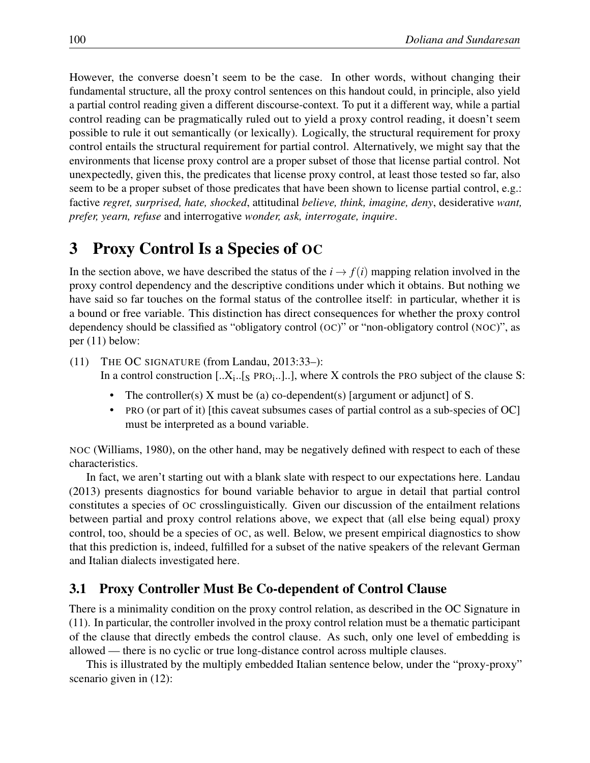However, the converse doesn't seem to be the case. In other words, without changing their fundamental structure, all the proxy control sentences on this handout could, in principle, also yield a partial control reading given a different discourse-context. To put it a different way, while a partial control reading can be pragmatically ruled out to yield a proxy control reading, it doesn't seem possible to rule it out semantically (or lexically). Logically, the structural requirement for proxy control entails the structural requirement for partial control. Alternatively, we might say that the environments that license proxy control are a proper subset of those that license partial control. Not unexpectedly, given this, the predicates that license proxy control, at least those tested so far, also seem to be a proper subset of those predicates that have been shown to license partial control, e.g.: factive *regret, surprised, hate, shocked*, attitudinal *believe, think, imagine, deny*, desiderative *want, prefer, yearn, refuse* and interrogative *wonder, ask, interrogate, inquire*.

# 3 Proxy Control Is a Species of OC

In the section above, we have described the status of the  $i \rightarrow f(i)$  mapping relation involved in the proxy control dependency and the descriptive conditions under which it obtains. But nothing we have said so far touches on the formal status of the controllee itself: in particular, whether it is a bound or free variable. This distinction has direct consequences for whether the proxy control dependency should be classified as "obligatory control (OC)" or "non-obligatory control (NOC)", as per (11) below:

(11) THE OC SIGNATURE (from Landau, 2013:33–): In a control construction  $\left[ ., X_i, .\right]_S$  PRO $_i$ ...]..], where X controls the PRO subject of the clause S:

- The controller(s) X must be (a) co-dependent(s) [argument or adjunct] of S.
- PRO (or part of it) [this caveat subsumes cases of partial control as a sub-species of OC] must be interpreted as a bound variable.

NOC (Williams, 1980), on the other hand, may be negatively defined with respect to each of these characteristics.

In fact, we aren't starting out with a blank slate with respect to our expectations here. Landau (2013) presents diagnostics for bound variable behavior to argue in detail that partial control constitutes a species of OC crosslinguistically. Given our discussion of the entailment relations between partial and proxy control relations above, we expect that (all else being equal) proxy control, too, should be a species of OC, as well. Below, we present empirical diagnostics to show that this prediction is, indeed, fulfilled for a subset of the native speakers of the relevant German and Italian dialects investigated here.

#### 3.1 Proxy Controller Must Be Co-dependent of Control Clause

There is a minimality condition on the proxy control relation, as described in the OC Signature in (11). In particular, the controller involved in the proxy control relation must be a thematic participant of the clause that directly embeds the control clause. As such, only one level of embedding is allowed — there is no cyclic or true long-distance control across multiple clauses.

This is illustrated by the multiply embedded Italian sentence below, under the "proxy-proxy" scenario given in (12):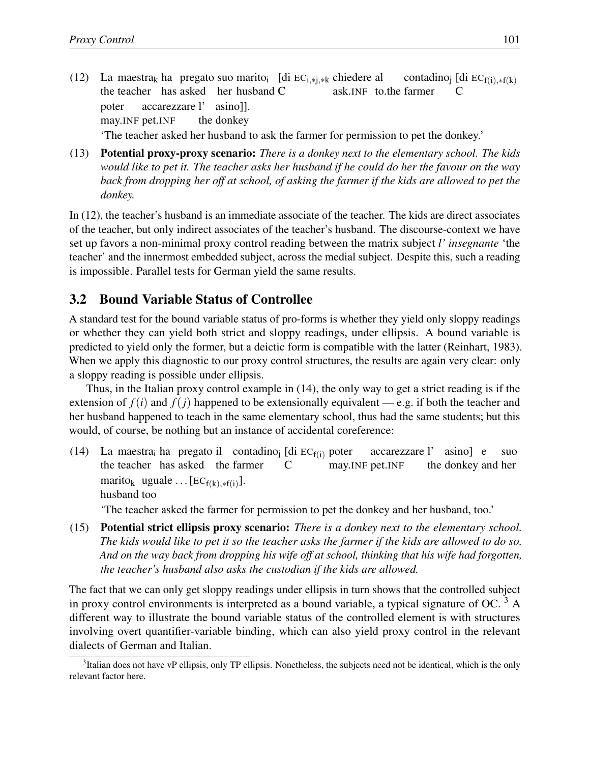- $(12)$ the teacher has asked her husband C maestra<sub>k</sub> ha pregato suo marito<sub>i</sub> [di EC<sub>i,\*j,\*k</sub> chiedere al ask.INF to.the farmer contadino<sub>j</sub> [di  $EC_{f(i), *f(k)}$ C poter may.INF pet.INF accarezzare l' the donkey asino]]. 'The teacher asked her husband to ask the farmer for permission to pet the donkey.'
- (13) Potential proxy-proxy scenario: *There is a donkey next to the elementary school. The kids would like to pet it. The teacher asks her husband if he could do her the favour on the way back from dropping her off at school, of asking the farmer if the kids are allowed to pet the donkey.*

In (12), the teacher's husband is an immediate associate of the teacher. The kids are direct associates of the teacher, but only indirect associates of the teacher's husband. The discourse-context we have set up favors a non-minimal proxy control reading between the matrix subject *l' insegnante* 'the teacher' and the innermost embedded subject, across the medial subject. Despite this, such a reading is impossible. Parallel tests for German yield the same results.

#### 3.2 Bound Variable Status of Controllee

A standard test for the bound variable status of pro-forms is whether they yield only sloppy readings or whether they can yield both strict and sloppy readings, under ellipsis. A bound variable is predicted to yield only the former, but a deictic form is compatible with the latter (Reinhart, 1983). When we apply this diagnostic to our proxy control structures, the results are again very clear: only a sloppy reading is possible under ellipsis.

Thus, in the Italian proxy control example in (14), the only way to get a strict reading is if the extension of  $f(i)$  and  $f(j)$  happened to be extensionally equivalent — e.g. if both the teacher and her husband happened to teach in the same elementary school, thus had the same students; but this would, of course, be nothing but an instance of accidental coreference:

(14) La maestra<sub>i</sub> ha pregato il contadino<sub>j</sub> [di  $EC_{f(i)}$  poter the teacher has asked the farmer C may.INF pet.INF accarezzare l' the donkey and her asino] e suo marito<sub>k</sub> uguale ...  $[EC_{f(k), *f(i)}].$ husband too

'The teacher asked the farmer for permission to pet the donkey and her husband, too.'

(15) Potential strict ellipsis proxy scenario: *There is a donkey next to the elementary school. The kids would like to pet it so the teacher asks the farmer if the kids are allowed to do so. And on the way back from dropping his wife off at school, thinking that his wife had forgotten, the teacher's husband also asks the custodian if the kids are allowed.*

The fact that we can only get sloppy readings under ellipsis in turn shows that the controlled subject in proxy control environments is interpreted as a bound variable, a typical signature of OC.<sup>3</sup> A different way to illustrate the bound variable status of the controlled element is with structures involving overt quantifier-variable binding, which can also yield proxy control in the relevant dialects of German and Italian.

 $3$ Italian does not have vP ellipsis, only TP ellipsis. Nonetheless, the subjects need not be identical, which is the only relevant factor here.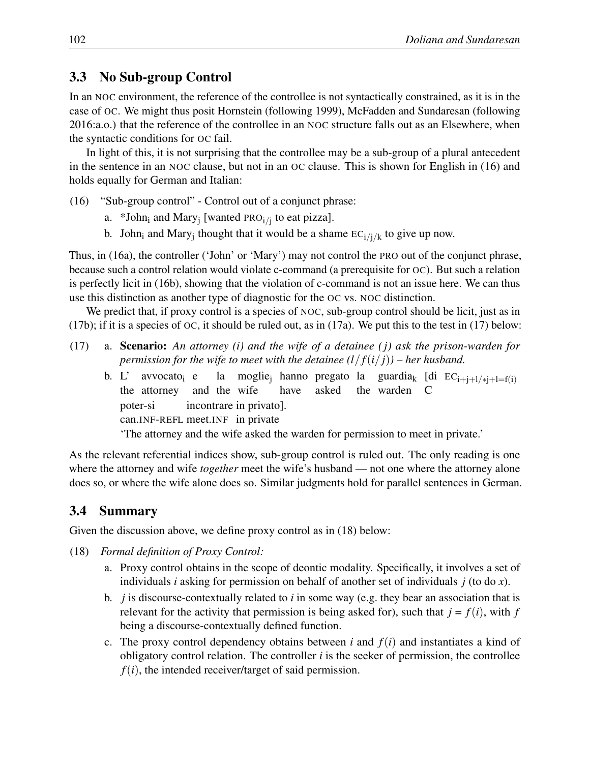#### 3.3 No Sub-group Control

In an NOC environment, the reference of the controllee is not syntactically constrained, as it is in the case of OC. We might thus posit Hornstein (following 1999), McFadden and Sundaresan (following 2016:a.o.) that the reference of the controllee in an NOC structure falls out as an Elsewhere, when the syntactic conditions for OC fail.

In light of this, it is not surprising that the controllee may be a sub-group of a plural antecedent in the sentence in an NOC clause, but not in an OC clause. This is shown for English in (16) and holds equally for German and Italian:

- (16) "Sub-group control" Control out of a conjunct phrase:
	- a. \*John<sub>i</sub> and Mary<sub>i</sub> [wanted PRO<sub>i/i</sub> to eat pizza].
	- b. John<sub>i</sub> and Mary<sub>i</sub> thought that it would be a shame  $EC_i / j / k$  to give up now.

Thus, in (16a), the controller ('John' or 'Mary') may not control the PRO out of the conjunct phrase, because such a control relation would violate c-command (a prerequisite for OC). But such a relation is perfectly licit in (16b), showing that the violation of c-command is not an issue here. We can thus use this distinction as another type of diagnostic for the OC vs. NOC distinction.

We predict that, if proxy control is a species of NOC, sub-group control should be licit, just as in (17b); if it is a species of  $OC$ , it should be ruled out, as in (17a). We put this to the test in (17) below:

- (17) a. Scenario: *An attorney (i) and the wife of a detainee (j) ask the prison-warden for permission for the wife to meet with the detainee*  $\frac{1}{f(i/j)}$  – *her husband.* 
	- b. L' the attorney avvocato<sub>i</sub> e and the wife la moglie<sub>j</sub> hanno pregato la guardia<sub>k</sub> [di  $EC_{i+j+1/*j+1=f(i)}$ have asked the warden C poter-si can.INF-REFL meet.INF in private incontrare in privato]. 'The attorney and the wife asked the warden for permission to meet in private.'

As the relevant referential indices show, sub-group control is ruled out. The only reading is one where the attorney and wife *together* meet the wife's husband — not one where the attorney alone does so, or where the wife alone does so. Similar judgments hold for parallel sentences in German.

## 3.4 Summary

Given the discussion above, we define proxy control as in (18) below:

- (18) *Formal definition of Proxy Control:*
	- a. Proxy control obtains in the scope of deontic modality. Specifically, it involves a set of individuals *i* asking for permission on behalf of another set of individuals *j* (to do *x*).
	- b. *j* is discourse-contextually related to *i* in some way (e.g. they bear an association that is relevant for the activity that permission is being asked for), such that  $j = f(i)$ , with  $f$ being a discourse-contextually defined function.
	- c. The proxy control dependency obtains between *i* and  $f(i)$  and instantiates a kind of obligatory control relation. The controller *i* is the seeker of permission, the controllee  $f(i)$ , the intended receiver/target of said permission.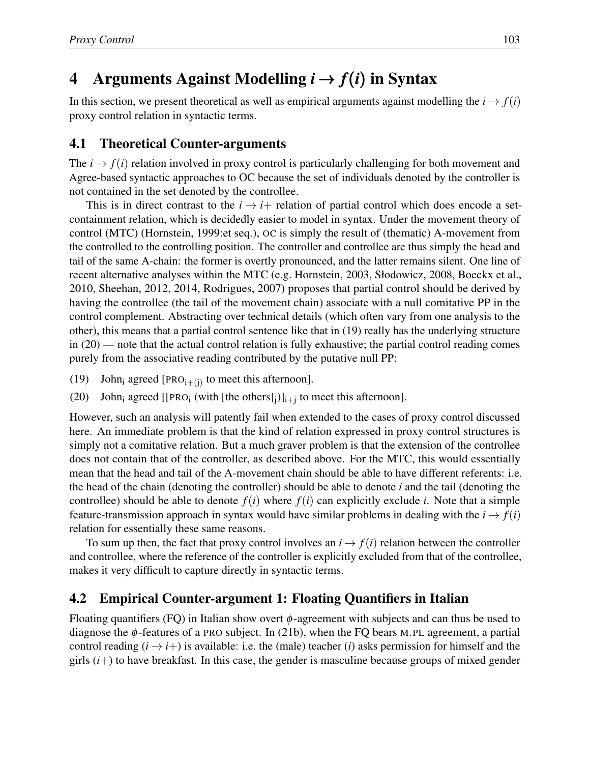# 4 Arguments Against Modelling  $i \rightarrow f(i)$  in Syntax

In this section, we present theoretical as well as empirical arguments against modelling the  $i \rightarrow f(i)$ proxy control relation in syntactic terms.

#### 4.1 Theoretical Counter-arguments

The  $i \rightarrow f(i)$  relation involved in proxy control is particularly challenging for both movement and Agree-based syntactic approaches to OC because the set of individuals denoted by the controller is not contained in the set denoted by the controllee.

This is in direct contrast to the  $i \rightarrow i+$  relation of partial control which does encode a setcontainment relation, which is decidedly easier to model in syntax. Under the movement theory of control (MTC) (Hornstein, 1999:et seq.), OC is simply the result of (thematic) A-movement from the controlled to the controlling position. The controller and controllee are thus simply the head and tail of the same A-chain: the former is overtly pronounced, and the latter remains silent. One line of recent alternative analyses within the MTC (e.g. Hornstein, 2003, Słodowicz, 2008, Boeckx et al., 2010, Sheehan, 2012, 2014, Rodrigues, 2007) proposes that partial control should be derived by having the controllee (the tail of the movement chain) associate with a null comitative PP in the control complement. Abstracting over technical details (which often vary from one analysis to the other), this means that a partial control sentence like that in (19) really has the underlying structure in (20) — note that the actual control relation is fully exhaustive; the partial control reading comes purely from the associative reading contributed by the putative null PP:

- (19) John<sub>i</sub> agreed [PRO<sub>i+(j)</sub> to meet this afternoon].
- (20) John<sub>i</sub> agreed [[PRO<sub>i</sub> (with [the others]<sub>i</sub>)]<sub>i+i</sub> to meet this afternoon].

However, such an analysis will patently fail when extended to the cases of proxy control discussed here. An immediate problem is that the kind of relation expressed in proxy control structures is simply not a comitative relation. But a much graver problem is that the extension of the controllee does not contain that of the controller, as described above. For the MTC, this would essentially mean that the head and tail of the A-movement chain should be able to have different referents: i.e. the head of the chain (denoting the controller) should be able to denote *i* and the tail (denoting the controllee) should be able to denote  $f(i)$  where  $f(i)$  can explicitly exclude *i*. Note that a simple feature-transmission approach in syntax would have similar problems in dealing with the  $i \rightarrow f(i)$ relation for essentially these same reasons.

To sum up then, the fact that proxy control involves an  $i \rightarrow f(i)$  relation between the controller and controllee, where the reference of the controller is explicitly excluded from that of the controllee, makes it very difficult to capture directly in syntactic terms.

#### 4.2 Empirical Counter-argument 1: Floating Quantifiers in Italian

Floating quantifiers  $(FQ)$  in Italian show overt  $\phi$ -agreement with subjects and can thus be used to diagnose the  $\phi$ -features of a PRO subject. In (21b), when the FQ bears M.PL agreement, a partial control reading  $(i \rightarrow i+)$  is available: i.e. the (male) teacher (*i*) asks permission for himself and the girls  $(i+)$  to have breakfast. In this case, the gender is masculine because groups of mixed gender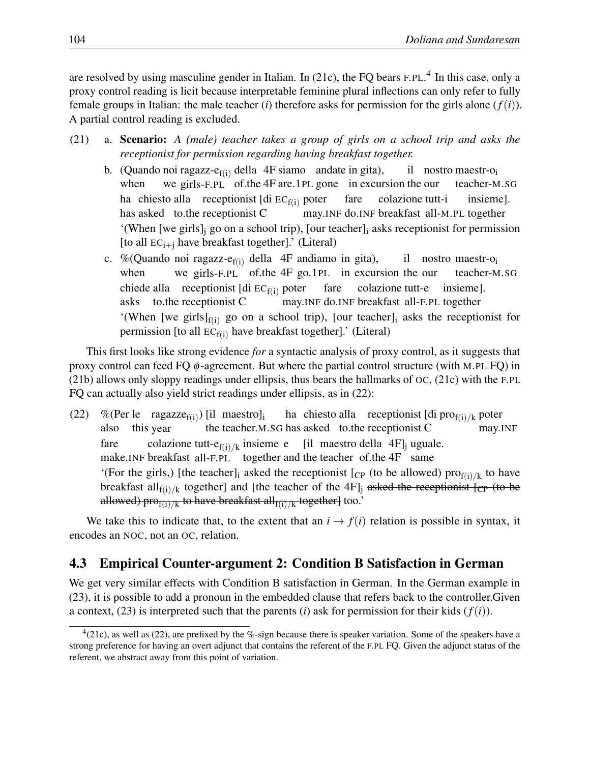are resolved by using masculine gender in Italian. In (21c), the FQ bears F.PL.<sup>4</sup> In this case, only a proxy control reading is licit because interpretable feminine plural inflections can only refer to fully female groups in Italian: the male teacher (*i*) therefore asks for permission for the girls alone  $(f(i))$ . A partial control reading is excluded.

- (21) a. Scenario: *A (male) teacher takes a group of girls on a school trip and asks the receptionist for permission regarding having breakfast together.*
	- b. (Quando noi ragazz- $e_{f(i)}$  della 4F siamo andate in gita), when we girls-F.PL of.the 4F are.1PL gone in excursion the our il nostro maestr-oi teacher-M.SG ha chiesto alla receptionist [di  $EC_{f(i)}$  poter has asked to.the receptionist C may.INF do.INF breakfast all-M.PL together fare colazione tutt-i insieme]. '(When [we girls], go on a school trip), [our teacher], asks receptionist for permission [to all  $EC_{i+j}$  have breakfast together].' (Literal)
	- c. %(Quando noi ragazz-e $_{f(i)}$  della 4F andiamo in gita), when we girls-F.PL of.the 4F go.1PL in excursion the our il nostro maestr-oi teacher-M.SG chiede alla receptionist [di  $EC_{f(i)}$  poter asks to.the receptionist C may.INF do.INF breakfast all-F.PL together fare colazione tutt-e insieme]. '(When [we girls] $_{f(i)}$  go on a school trip), [our teacher]<sub>i</sub> asks the receptionist for permission [to all  $EC_{f(i)}$  have breakfast together].' (Literal)

This first looks like strong evidence *for* a syntactic analysis of proxy control, as it suggests that proxy control can feed  $FQ \phi$ -agreement. But where the partial control structure (with M.PL  $FQ$ ) in (21b) allows only sloppy readings under ellipsis, thus bears the hallmarks of OC, (21c) with the F.PL FQ can actually also yield strict readings under ellipsis, as in (22):

(22) % (Per le ragazze<sub>f(i)</sub>) [il maestro]<sub>i</sub> also this year the teacher.M.SG has asked to.the receptionist C ha chiesto alla receptionist [di pro<sub>f(i)/k</sub> poter may.INF fare make.INF breakfast all-F.PL together and the teacher of.the 4F same colazione tutt-e $f_{(i)/k}$  insieme e [il maestro della 4F]<sub>j</sub> uguale. '(For the girls,) [the teacher]<sub>i</sub> asked the receptionist [ $_{CP}$  (to be allowed) pro $_{f(i)/k}$  to have breakfast all<sub>f(i)/k</sub> together] and [the teacher of the 4F]<sub>j</sub> asked the receptionist [cp (to be allowed) pro $_{f(i)/k}$  to have breakfast all<sub>f(i)/k</sub> together] too.'

We take this to indicate that, to the extent that an  $i \rightarrow f(i)$  relation is possible in syntax, it encodes an NOC, not an OC, relation.

#### 4.3 Empirical Counter-argument 2: Condition B Satisfaction in German

We get very similar effects with Condition B satisfaction in German. In the German example in (23), it is possible to add a pronoun in the embedded clause that refers back to the controller.Given a context,  $(23)$  is interpreted such that the parents (*i*) ask for permission for their kids  $(f(i))$ .

 $^{4}(21c)$ , as well as (22), are prefixed by the %-sign because there is speaker variation. Some of the speakers have a strong preference for having an overt adjunct that contains the referent of the F.PL FQ. Given the adjunct status of the referent, we abstract away from this point of variation.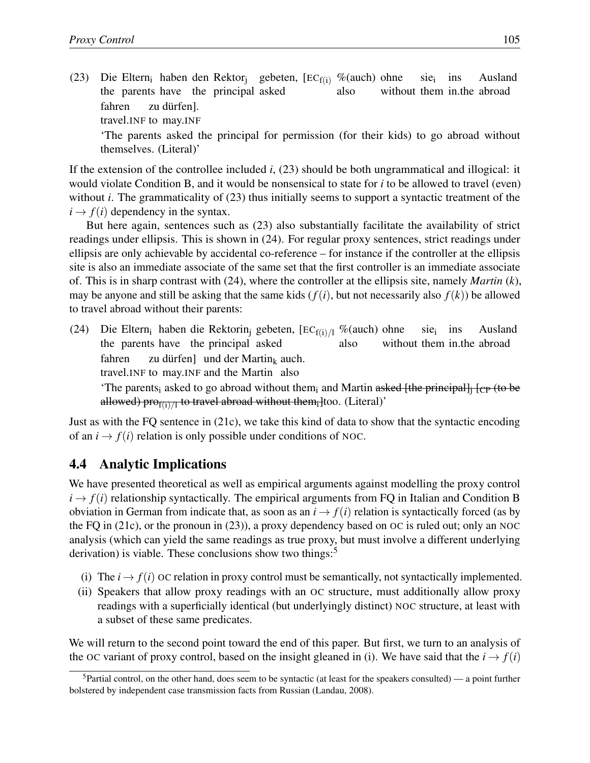$(23)$ the parents have the principal asked Eltern<sub>i</sub> haben den Rektor<sub>j</sub> gebeten,  $[EC_{f(i)} \%$ (auch) ohne also without them in.the abroad sie<sub>i</sub> ins Ausland fahren travel.INF to may.INF zu dürfen]. 'The parents asked the principal for permission (for their kids) to go abroad without themselves. (Literal)'

If the extension of the controllee included *i*, (23) should be both ungrammatical and illogical: it would violate Condition B, and it would be nonsensical to state for *i* to be allowed to travel (even) without *i*. The grammaticality of  $(23)$  thus initially seems to support a syntactic treatment of the  $i \rightarrow f(i)$  dependency in the syntax.

But here again, sentences such as (23) also substantially facilitate the availability of strict readings under ellipsis. This is shown in (24). For regular proxy sentences, strict readings under ellipsis are only achievable by accidental co-reference – for instance if the controller at the ellipsis site is also an immediate associate of the same set that the first controller is an immediate associate of. This is in sharp contrast with (24), where the controller at the ellipsis site, namely *Martin* (*k*), may be anyone and still be asking that the same kids  $(f(i))$ , but not necessarily also  $f(k)$ ) be allowed to travel abroad without their parents:

(24) Die Eltern<sub>i</sub> haben die Rektorin<sub>j</sub> gebeten, [EC<sub>f(i)</sub>/<sub>l</sub> %(auch) ohne the parents have the principal asked also without them in.the abroad sie<sub>i</sub> ins Ausland fahren zu dürfen] und der Martin<sub>k</sub> auch.

travel.INF to may.INF and the Martin also

'The parents<sub>i</sub> asked to go abroad without them<sub>i</sub> and Martin asked [the principal]<sub>i</sub> [<sub>CP</sub> (to be allowed) pro $_{f(i)/I}$  to travel abroad without them<sub>i</sub> ltoo. (Literal)'

Just as with the FQ sentence in (21c), we take this kind of data to show that the syntactic encoding of an  $i \rightarrow f(i)$  relation is only possible under conditions of NOC.

#### 4.4 Analytic Implications

We have presented theoretical as well as empirical arguments against modelling the proxy control  $i \rightarrow f(i)$  relationship syntactically. The empirical arguments from FQ in Italian and Condition B obviation in German from indicate that, as soon as an  $i \rightarrow f(i)$  relation is syntactically forced (as by the FQ in (21c), or the pronoun in (23)), a proxy dependency based on OC is ruled out; only an NOC analysis (which can yield the same readings as true proxy, but must involve a different underlying derivation) is viable. These conclusions show two things:<sup>5</sup>

- (i) The  $i \rightarrow f(i)$  OC relation in proxy control must be semantically, not syntactically implemented.
- (ii) Speakers that allow proxy readings with an OC structure, must additionally allow proxy readings with a superficially identical (but underlyingly distinct) NOC structure, at least with a subset of these same predicates.

We will return to the second point toward the end of this paper. But first, we turn to an analysis of the OC variant of proxy control, based on the insight gleaned in (i). We have said that the  $i \rightarrow f(i)$ 

 $5$ Partial control, on the other hand, does seem to be syntactic (at least for the speakers consulted) — a point further bolstered by independent case transmission facts from Russian (Landau, 2008).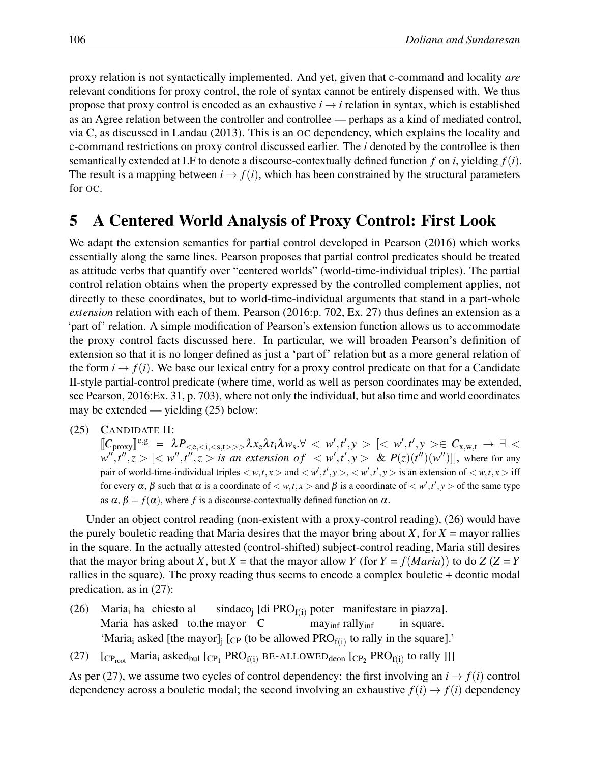proxy relation is not syntactically implemented. And yet, given that c-command and locality *are* relevant conditions for proxy control, the role of syntax cannot be entirely dispensed with. We thus propose that proxy control is encoded as an exhaustive  $i \rightarrow i$  relation in syntax, which is established as an Agree relation between the controller and controllee — perhaps as a kind of mediated control, via C, as discussed in Landau (2013). This is an OC dependency, which explains the locality and c-command restrictions on proxy control discussed earlier. The *i* denoted by the controllee is then semantically extended at LF to denote a discourse-contextually defined function *f* on *i*, yielding *f*(*i*). The result is a mapping between  $i \rightarrow f(i)$ , which has been constrained by the structural parameters for OC.

## 5 A Centered World Analysis of Proxy Control: First Look

We adapt the extension semantics for partial control developed in Pearson (2016) which works essentially along the same lines. Pearson proposes that partial control predicates should be treated as attitude verbs that quantify over "centered worlds" (world-time-individual triples). The partial control relation obtains when the property expressed by the controlled complement applies, not directly to these coordinates, but to world-time-individual arguments that stand in a part-whole *extension* relation with each of them. Pearson (2016:p. 702, Ex. 27) thus defines an extension as a 'part of' relation. A simple modification of Pearson's extension function allows us to accommodate the proxy control facts discussed here. In particular, we will broaden Pearson's definition of extension so that it is no longer defined as just a 'part of' relation but as a more general relation of the form  $i \rightarrow f(i)$ . We base our lexical entry for a proxy control predicate on that for a Candidate II-style partial-control predicate (where time, world as well as person coordinates may be extended, see Pearson, 2016:Ex. 31, p. 703), where not only the individual, but also time and world coordinates may be extended — yielding (25) below:

(25) CANDIDATE II:

 $[\![C_{\text{proxy}}]\!]^{c,g} = \lambda P_{\leq e,\leq i,\leq s,t>>>} \lambda x_e \lambda t_i \lambda w_s. \forall \leq w',t',y > [\leq w',t',y> \in C_{x,w,t} \rightarrow \exists <$  $w'',t'',z>[is \textit{ an extension of }  \ \ \& \ \ P(z)(t'')(w'')]],$  where for any pair of world-time-individual triples  $\lt w, t, x >$  and  $\lt w', t', y >$ ,  $\lt w', t', y >$  is an extension of  $\lt w, t, x >$  iff for every  $\alpha$ ,  $\beta$  such that  $\alpha$  is a coordinate of  $\lt w$ ,  $t$ ,  $x >$  and  $\beta$  is a coordinate of  $\lt w'$ ,  $t'$ ,  $y >$  of the same type as  $\alpha$ ,  $\beta = f(\alpha)$ , where f is a discourse-contextually defined function on  $\alpha$ .

Under an object control reading (non-existent with a proxy-control reading), (26) would have the purely bouletic reading that Maria desires that the mayor bring about  $X$ , for  $X =$  mayor rallies in the square. In the actually attested (control-shifted) subject-control reading, Maria still desires that the mayor bring about *X*, but *X* = that the mayor allow *Y* (for  $Y = f(Maria)$ ) to do *Z* (*Z* = *Y* rallies in the square). The proxy reading thus seems to encode a complex bouletic + deontic modal predication, as in (27):

- $(26)$  Maria<sub>i</sub> ha chiesto al Maria has asked to.the mayor C  $\text{sin}$ dac $\text{o}_j$  [di PRO<sub>f(i)</sub> poter manifestare in piazza]. may<sub>inf</sub> rally<sub>inf</sub> in square. 'Maria<sub>i</sub> asked [the mayor]<sub>i</sub> [<sub>CP</sub> (to be allowed PRO<sub>f(i)</sub> to rally in the square].'
- (27)  $[CP_{root}$  Maria<sub>i</sub> asked<sub>bul</sub>  $[CP_1$  PRO<sub>f(i)</sub> BE-ALLOWED<sub>deon</sub>  $[CP_2$  PRO<sub>f(i)</sub> to rally ]]]

As per (27), we assume two cycles of control dependency: the first involving an  $i \rightarrow f(i)$  control dependency across a bouletic modal; the second involving an exhaustive  $f(i) \rightarrow f(i)$  dependency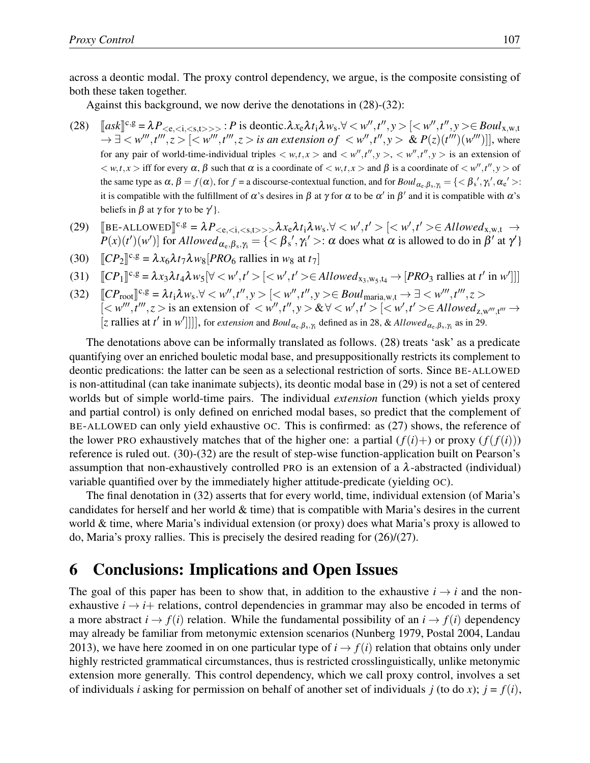across a deontic modal. The proxy control dependency, we argue, is the composite consisting of both these taken together.

Against this background, we now derive the denotations in (28)-(32):

- (28)  $[ask]^{c,g} = \lambda P_{\leq e,\leq 1,\leq s,t>>>} : P$  is deontic.  $\lambda x_e \lambda t_i \lambda w_s \forall \leq w'', t'', y > [\leq w'', t'', y > \in Boul_{x,w,t}$  $\to \exists \lt w''', t''', z > [\lt w''', t''', z > is \text{ an extension of } \lt w'', t'', y > \& P(z)(t''')(w''')]],$  where for any pair of world-time-individual triples  $\langle w, t, x \rangle$  and  $\langle w'', t'', y \rangle$ ,  $\langle w'', t'', y \rangle$  is an extension of  $\langle w, t, x \rangle$  iff for every  $\alpha$ ,  $\beta$  such that  $\alpha$  is a coordinate of  $\langle w, t, x \rangle$  and  $\beta$  is a coordinate of  $\langle w', t'', y \rangle$  of the same type as  $\alpha$ ,  $\beta = f(\alpha)$ , for  $f =$  a discourse-contextual function, and for  $Boul_{\alpha_{e},\beta_{s},\gamma_{i}} = \{<\beta_{s}',\gamma_{i}',\alpha_{e}'>:\}$ it is compatible with the fulfillment of  $\alpha$ 's desires in  $\beta$  at  $\gamma$  for  $\alpha$  to be  $\alpha'$  in  $\beta'$  and it is compatible with  $\alpha$ 's beliefs in  $\beta$  at  $\gamma$  for  $\gamma$  to be  $\gamma'$  }.
- (29)  $\left[\text{BE-ALLOWED}\right]^{c,g} = \lambda P_{\leq c,\leq i,\leq s,t>>>} \lambda x_c \lambda t_i \lambda w_s. \forall \leq w', t' > \left[\leq w', t' > \in Allowed_{x,w,t} \rightarrow R(\leq c, \leq d) \right]$  $P(x)(t')(w')$  for *Allowed*<sub> $\alpha_e, \beta_s, \gamma_i = \{ \langle \beta_s', \gamma_i' \rangle : \alpha \text{ does what } \alpha \text{ is allowed to do in } \beta' \text{ at } \gamma' \}$ </sub>

(30) 
$$
[CP_2]^{c,g} = \lambda x_6 \lambda t_7 \lambda w_8 [PRO_6 \text{ realizes in } w_8 \text{ at } t_7]
$$

$$
(31) \quad [CP_1]^{c,g} = \lambda x_3 \lambda t_4 \lambda w_5 [\forall  [  \in \text{Allowed}_{x_3, w_5, t_4} \rightarrow [PRO_3 \text{ \, } at \text{ } t' \text{ \, in \, } w']]]
$$

(32)  $[CP_{root}]^{c,g} = \lambda t_1 \lambda w_s \forall \langle w'', t'', y \rangle \leq [\langle w'', t'', y \rangle \in Boul_{\text{maria},w,t} \rightarrow \exists \langle w''', t''', z \rangle$  $\leq w'''$ ,  $t'''$ ,  $z >$  is an extension of  $\lt w''$ ,  $t''$ ,  $y > \& \forall \lt w'$ ,  $t' > \leq w'$ ,  $t' > \in \text{Allowed}_{z,w''',t'''} \rightarrow$ [*z* rallies at *t*<sup> $\ell$ </sup> in *w*<sup> $\ell$ </sup>]]]], for *extension* and *Boul*<sub> $\alpha_e, \beta_s, \gamma_i$  defined as in 28, & *Allowed*<sub> $\alpha_e, \beta_s, \gamma_i$  as in 29.</sub></sub>

The denotations above can be informally translated as follows. (28) treats 'ask' as a predicate quantifying over an enriched bouletic modal base, and presuppositionally restricts its complement to deontic predications: the latter can be seen as a selectional restriction of sorts. Since BE-ALLOWED is non-attitudinal (can take inanimate subjects), its deontic modal base in (29) is not a set of centered worlds but of simple world-time pairs. The individual *extension* function (which yields proxy and partial control) is only defined on enriched modal bases, so predict that the complement of BE-ALLOWED can only yield exhaustive OC. This is confirmed: as (27) shows, the reference of the lower PRO exhaustively matches that of the higher one: a partial  $(f(i)+)$  or proxy  $(f(f(i)))$ reference is ruled out. (30)-(32) are the result of step-wise function-application built on Pearson's assumption that non-exhaustively controlled PRO is an extension of a  $\lambda$ -abstracted (individual) variable quantified over by the immediately higher attitude-predicate (yielding OC).

The final denotation in (32) asserts that for every world, time, individual extension (of Maria's candidates for herself and her world  $\&$  time) that is compatible with Maria's desires in the current world & time, where Maria's individual extension (or proxy) does what Maria's proxy is allowed to do, Maria's proxy rallies. This is precisely the desired reading for (26)/(27).

## 6 Conclusions: Implications and Open Issues

The goal of this paper has been to show that, in addition to the exhaustive  $i \rightarrow i$  and the nonexhaustive  $i \rightarrow i+$  relations, control dependencies in grammar may also be encoded in terms of a more abstract  $i \rightarrow f(i)$  relation. While the fundamental possibility of an  $i \rightarrow f(i)$  dependency may already be familiar from metonymic extension scenarios (Nunberg 1979, Postal 2004, Landau 2013), we have here zoomed in on one particular type of  $i \rightarrow f(i)$  relation that obtains only under highly restricted grammatical circumstances, thus is restricted crosslinguistically, unlike metonymic extension more generally. This control dependency, which we call proxy control, involves a set of individuals *i* asking for permission on behalf of another set of individuals  $j$  (to do *x*);  $j = f(i)$ ,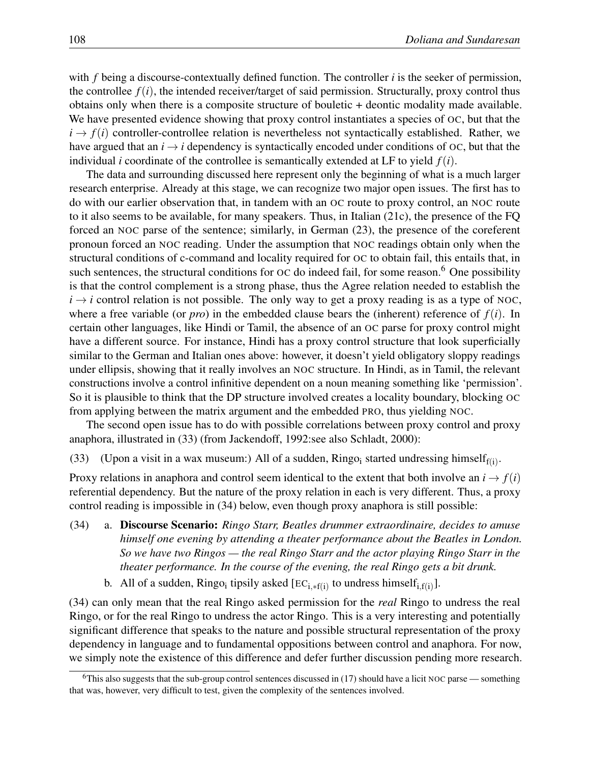with *f* being a discourse-contextually defined function. The controller *i* is the seeker of permission, the controllee  $f(i)$ , the intended receiver/target of said permission. Structurally, proxy control thus obtains only when there is a composite structure of bouletic + deontic modality made available. We have presented evidence showing that proxy control instantiates a species of OC, but that the  $i \rightarrow f(i)$  controller-controllee relation is nevertheless not syntactically established. Rather, we have argued that an  $i \rightarrow i$  dependency is syntactically encoded under conditions of OC, but that the individual *i* coordinate of the controllee is semantically extended at LF to yield  $f(i)$ .

The data and surrounding discussed here represent only the beginning of what is a much larger research enterprise. Already at this stage, we can recognize two major open issues. The first has to do with our earlier observation that, in tandem with an OC route to proxy control, an NOC route to it also seems to be available, for many speakers. Thus, in Italian (21c), the presence of the FQ forced an NOC parse of the sentence; similarly, in German (23), the presence of the coreferent pronoun forced an NOC reading. Under the assumption that NOC readings obtain only when the structural conditions of c-command and locality required for OC to obtain fail, this entails that, in such sentences, the structural conditions for  $\overline{OC}$  do indeed fail, for some reason.<sup>6</sup> One possibility is that the control complement is a strong phase, thus the Agree relation needed to establish the  $i \rightarrow i$  control relation is not possible. The only way to get a proxy reading is as a type of NOC, where a free variable (or *pro*) in the embedded clause bears the (inherent) reference of  $f(i)$ . In certain other languages, like Hindi or Tamil, the absence of an OC parse for proxy control might have a different source. For instance, Hindi has a proxy control structure that look superficially similar to the German and Italian ones above: however, it doesn't yield obligatory sloppy readings under ellipsis, showing that it really involves an NOC structure. In Hindi, as in Tamil, the relevant constructions involve a control infinitive dependent on a noun meaning something like 'permission'. So it is plausible to think that the DP structure involved creates a locality boundary, blocking OC from applying between the matrix argument and the embedded PRO, thus yielding NOC.

The second open issue has to do with possible correlations between proxy control and proxy anaphora, illustrated in (33) (from Jackendoff, 1992:see also Schladt, 2000):

(33) (Upon a visit in a wax museum:) All of a sudden, Ringo<sub>i</sub> started undressing himself<sub>f(i)</sub>.

Proxy relations in anaphora and control seem identical to the extent that both involve an  $i \rightarrow f(i)$ referential dependency. But the nature of the proxy relation in each is very different. Thus, a proxy control reading is impossible in (34) below, even though proxy anaphora is still possible:

- (34) a. Discourse Scenario: *Ringo Starr, Beatles drummer extraordinaire, decides to amuse himself one evening by attending a theater performance about the Beatles in London. So we have two Ringos — the real Ringo Starr and the actor playing Ringo Starr in the theater performance. In the course of the evening, the real Ringo gets a bit drunk.*
	- b. All of a sudden, Ringo<sub>i</sub> tipsily asked  $[EC_{i.*f(i)}]$  to undress himself<sub>i,f(i)</sub>].

(34) can only mean that the real Ringo asked permission for the *real* Ringo to undress the real Ringo, or for the real Ringo to undress the actor Ringo. This is a very interesting and potentially significant difference that speaks to the nature and possible structural representation of the proxy dependency in language and to fundamental oppositions between control and anaphora. For now, we simply note the existence of this difference and defer further discussion pending more research.

<sup>&</sup>lt;sup>6</sup>This also suggests that the sub-group control sentences discussed in (17) should have a licit NOC parse — something that was, however, very difficult to test, given the complexity of the sentences involved.